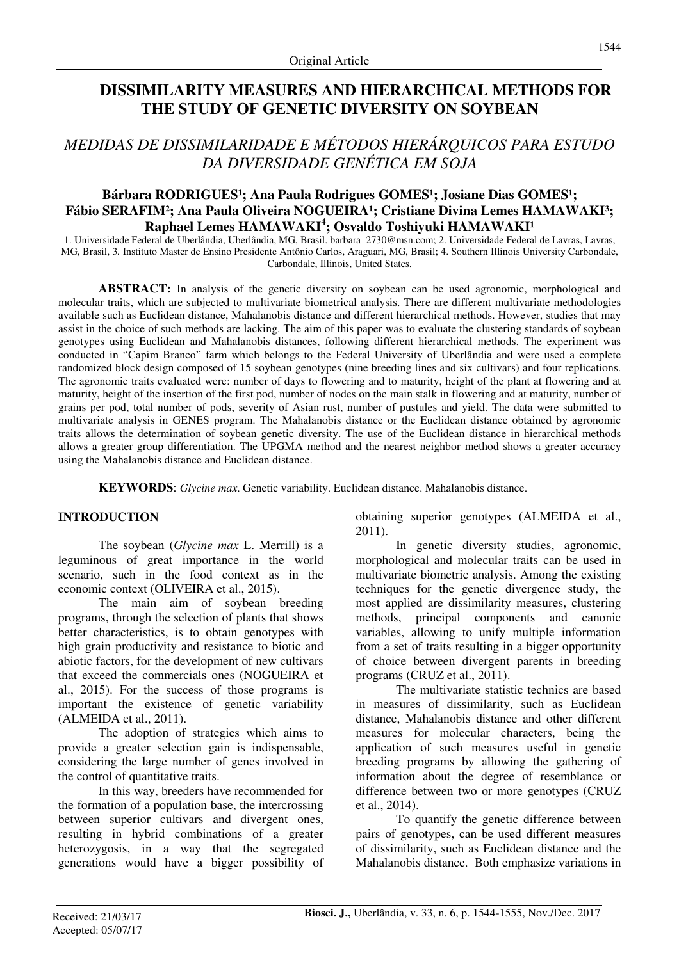# **DISSIMILARITY MEASURES AND HIERARCHICAL METHODS FOR THE STUDY OF GENETIC DIVERSITY ON SOYBEAN**

# *MEDIDAS DE DISSIMILARIDADE E MÉTODOS HIERÁRQUICOS PARA ESTUDO DA DIVERSIDADE GENÉTICA EM SOJA*

# Bárbara RODRIGUES<sup>1</sup>; Ana Paula Rodrigues GOMES<sup>1</sup>; Josiane Dias GOMES<sup>1</sup>; Fábio SERAFIM<sup>2</sup>; Ana Paula Oliveira NOGUEIRA<sup>1</sup>; Cristiane Divina Lemes HAMAWAKI<sup>3</sup>; **Raphael Lemes HAMAWAKI<sup>4</sup>; Osvaldo Toshiyuki HAMAWAKI<sup>1</sup>**

1. Universidade Federal de Uberlândia, Uberlândia, MG, Brasil. barbara\_2730@msn.com; 2. Universidade Federal de Lavras, Lavras, MG, Brasil, 3*.* Instituto Master de Ensino Presidente Antônio Carlos, Araguari, MG, Brasil; 4. Southern Illinois University Carbondale, Carbondale, Illinois, United States.

**ABSTRACT:** In analysis of the genetic diversity on soybean can be used agronomic, morphological and molecular traits, which are subjected to multivariate biometrical analysis. There are different multivariate methodologies available such as Euclidean distance, Mahalanobis distance and different hierarchical methods. However, studies that may assist in the choice of such methods are lacking. The aim of this paper was to evaluate the clustering standards of soybean genotypes using Euclidean and Mahalanobis distances, following different hierarchical methods. The experiment was conducted in "Capim Branco" farm which belongs to the Federal University of Uberlândia and were used a complete randomized block design composed of 15 soybean genotypes (nine breeding lines and six cultivars) and four replications. The agronomic traits evaluated were: number of days to flowering and to maturity, height of the plant at flowering and at maturity, height of the insertion of the first pod, number of nodes on the main stalk in flowering and at maturity, number of grains per pod, total number of pods, severity of Asian rust, number of pustules and yield. The data were submitted to multivariate analysis in GENES program. The Mahalanobis distance or the Euclidean distance obtained by agronomic traits allows the determination of soybean genetic diversity. The use of the Euclidean distance in hierarchical methods allows a greater group differentiation. The UPGMA method and the nearest neighbor method shows a greater accuracy using the Mahalanobis distance and Euclidean distance.

**KEYWORDS**: *Glycine max*. Genetic variability. Euclidean distance. Mahalanobis distance.

## **INTRODUCTION**

The soybean (*Glycine max* L. Merrill) is a leguminous of great importance in the world scenario, such in the food context as in the economic context (OLIVEIRA et al., 2015).

The main aim of soybean breeding programs, through the selection of plants that shows better characteristics, is to obtain genotypes with high grain productivity and resistance to biotic and abiotic factors, for the development of new cultivars that exceed the commercials ones (NOGUEIRA et al., 2015). For the success of those programs is important the existence of genetic variability (ALMEIDA et al., 2011).

The adoption of strategies which aims to provide a greater selection gain is indispensable, considering the large number of genes involved in the control of quantitative traits.

In this way, breeders have recommended for the formation of a population base, the intercrossing between superior cultivars and divergent ones, resulting in hybrid combinations of a greater heterozygosis, in a way that the segregated generations would have a bigger possibility of obtaining superior genotypes (ALMEIDA et al., 2011).

In genetic diversity studies, agronomic, morphological and molecular traits can be used in multivariate biometric analysis. Among the existing techniques for the genetic divergence study, the most applied are dissimilarity measures, clustering methods, principal components and canonic variables, allowing to unify multiple information from a set of traits resulting in a bigger opportunity of choice between divergent parents in breeding programs (CRUZ et al., 2011).

The multivariate statistic technics are based in measures of dissimilarity, such as Euclidean distance, Mahalanobis distance and other different measures for molecular characters, being the application of such measures useful in genetic breeding programs by allowing the gathering of information about the degree of resemblance or difference between two or more genotypes (CRUZ et al., 2014).

To quantify the genetic difference between pairs of genotypes, can be used different measures of dissimilarity, such as Euclidean distance and the Mahalanobis distance. Both emphasize variations in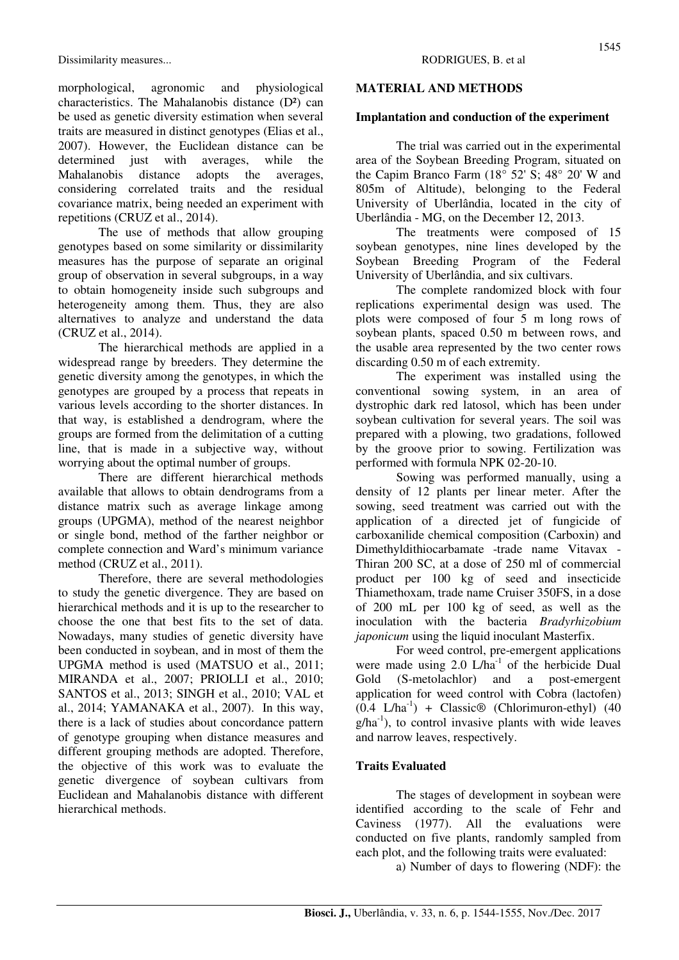morphological, agronomic and physiological characteristics. The Mahalanobis distance (D²) can be used as genetic diversity estimation when several traits are measured in distinct genotypes (Elias et al., 2007). However, the Euclidean distance can be determined just with averages, while the Mahalanobis distance adopts the averages, considering correlated traits and the residual covariance matrix, being needed an experiment with repetitions (CRUZ et al., 2014).

The use of methods that allow grouping genotypes based on some similarity or dissimilarity measures has the purpose of separate an original group of observation in several subgroups, in a way to obtain homogeneity inside such subgroups and heterogeneity among them. Thus, they are also alternatives to analyze and understand the data (CRUZ et al., 2014).

The hierarchical methods are applied in a widespread range by breeders. They determine the genetic diversity among the genotypes, in which the genotypes are grouped by a process that repeats in various levels according to the shorter distances. In that way, is established a dendrogram, where the groups are formed from the delimitation of a cutting line, that is made in a subjective way, without worrying about the optimal number of groups.

There are different hierarchical methods available that allows to obtain dendrograms from a distance matrix such as average linkage among groups (UPGMA), method of the nearest neighbor or single bond, method of the farther neighbor or complete connection and Ward's minimum variance method (CRUZ et al., 2011).

Therefore, there are several methodologies to study the genetic divergence. They are based on hierarchical methods and it is up to the researcher to choose the one that best fits to the set of data. Nowadays, many studies of genetic diversity have been conducted in soybean, and in most of them the UPGMA method is used (MATSUO et al., 2011; MIRANDA et al., 2007; PRIOLLI et al., 2010; SANTOS et al., 2013; SINGH et al., 2010; VAL et al., 2014; YAMANAKA et al., 2007). In this way, there is a lack of studies about concordance pattern of genotype grouping when distance measures and different grouping methods are adopted. Therefore, the objective of this work was to evaluate the genetic divergence of soybean cultivars from Euclidean and Mahalanobis distance with different hierarchical methods.

#### **MATERIAL AND METHODS**

#### **Implantation and conduction of the experiment**

The trial was carried out in the experimental area of the Soybean Breeding Program, situated on the Capim Branco Farm (18° 52' S; 48° 20' W and 805m of Altitude), belonging to the Federal University of Uberlândia, located in the city of Uberlândia - MG, on the December 12, 2013.

The treatments were composed of 15 soybean genotypes, nine lines developed by the Soybean Breeding Program of the Federal University of Uberlândia, and six cultivars.

The complete randomized block with four replications experimental design was used. The plots were composed of four 5 m long rows of soybean plants, spaced 0.50 m between rows, and the usable area represented by the two center rows discarding 0.50 m of each extremity.

The experiment was installed using the conventional sowing system, in an area of dystrophic dark red latosol, which has been under soybean cultivation for several years. The soil was prepared with a plowing, two gradations, followed by the groove prior to sowing. Fertilization was performed with formula NPK 02-20-10.

Sowing was performed manually, using a density of 12 plants per linear meter. After the sowing, seed treatment was carried out with the application of a directed jet of fungicide of carboxanilide chemical composition (Carboxin) and Dimethyldithiocarbamate -trade name Vitavax - Thiran 200 SC, at a dose of 250 ml of commercial product per 100 kg of seed and insecticide Thiamethoxam, trade name Cruiser 350FS, in a dose of 200 mL per 100 kg of seed, as well as the inoculation with the bacteria *Bradyrhizobium japonicum* using the liquid inoculant Masterfix.

For weed control, pre-emergent applications were made using 2.0 L/ha<sup>-1</sup> of the herbicide Dual Gold (S-metolachlor) and a post-emergent application for weed control with Cobra (lactofen)  $(0.4 \text{ L/ha}^{-1})$  + Classic<sup>®</sup> (Chlorimuron-ethyl) (40  $g/ha^{-1}$ ), to control invasive plants with wide leaves and narrow leaves, respectively.

## **Traits Evaluated**

The stages of development in soybean were identified according to the scale of Fehr and Caviness (1977). All the evaluations were conducted on five plants, randomly sampled from each plot, and the following traits were evaluated:

a) Number of days to flowering (NDF): the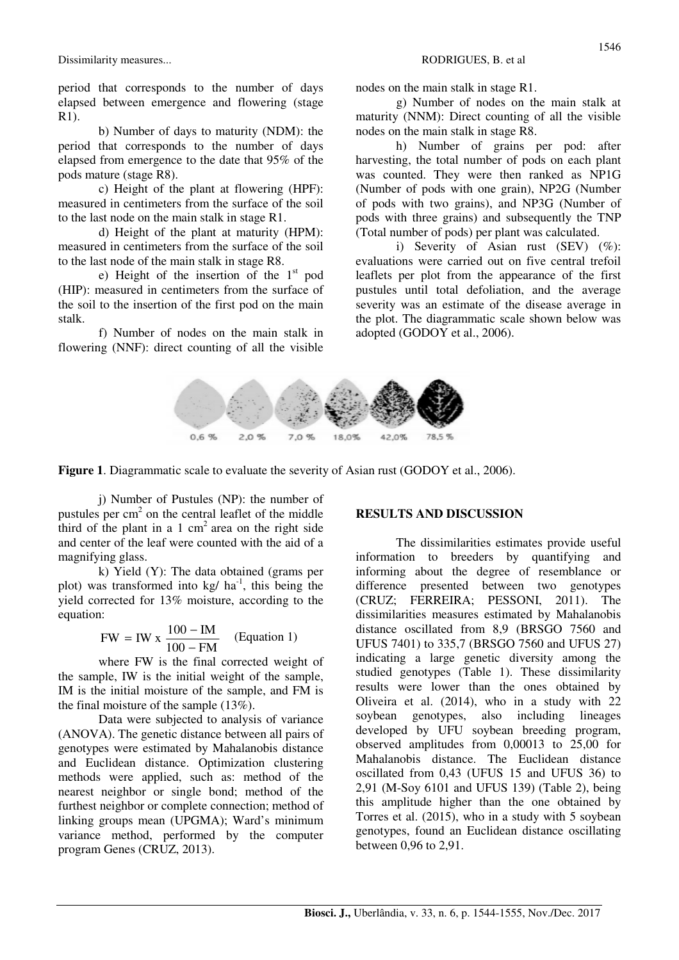period that corresponds to the number of days elapsed between emergence and flowering (stage R1).

b) Number of days to maturity (NDM): the period that corresponds to the number of days elapsed from emergence to the date that 95% of the pods mature (stage R8).

c) Height of the plant at flowering (HPF): measured in centimeters from the surface of the soil to the last node on the main stalk in stage R1.

d) Height of the plant at maturity (HPM): measured in centimeters from the surface of the soil to the last node of the main stalk in stage R8.

e) Height of the insertion of the  $1<sup>st</sup>$  pod (HIP): measured in centimeters from the surface of the soil to the insertion of the first pod on the main stalk.

f) Number of nodes on the main stalk in flowering (NNF): direct counting of all the visible

nodes on the main stalk in stage R1.

g) Number of nodes on the main stalk at maturity (NNM): Direct counting of all the visible nodes on the main stalk in stage R8.

h) Number of grains per pod: after harvesting, the total number of pods on each plant was counted. They were then ranked as NP1G (Number of pods with one grain), NP2G (Number of pods with two grains), and NP3G (Number of pods with three grains) and subsequently the TNP (Total number of pods) per plant was calculated.

i) Severity of Asian rust  $(SEV)$   $(\%)$ : evaluations were carried out on five central trefoil leaflets per plot from the appearance of the first pustules until total defoliation, and the average severity was an estimate of the disease average in the plot. The diagrammatic scale shown below was adopted (GODOY et al., 2006).



**Figure 1**. Diagrammatic scale to evaluate the severity of Asian rust (GODOY et al., 2006).

j) Number of Pustules (NP): the number of pustules per  $cm<sup>2</sup>$  on the central leaflet of the middle third of the plant in a 1  $cm<sup>2</sup>$  area on the right side and center of the leaf were counted with the aid of a magnifying glass.

k) Yield (Y): The data obtained (grams per plot) was transformed into  $kg/ha^{-1}$ , this being the yield corrected for 13% moisture, according to the equation:

$$
FW = IW \times \frac{100 - IM}{100 - FM}
$$
 (Equation 1)

where FW is the final corrected weight of the sample, IW is the initial weight of the sample, IM is the initial moisture of the sample, and FM is the final moisture of the sample (13%).

Data were subjected to analysis of variance (ANOVA). The genetic distance between all pairs of genotypes were estimated by Mahalanobis distance and Euclidean distance. Optimization clustering methods were applied, such as: method of the nearest neighbor or single bond; method of the furthest neighbor or complete connection; method of linking groups mean (UPGMA); Ward's minimum variance method, performed by the computer program Genes (CRUZ, 2013).

#### **RESULTS AND DISCUSSION**

The dissimilarities estimates provide useful information to breeders by quantifying and informing about the degree of resemblance or difference presented between two genotypes (CRUZ; FERREIRA; PESSONI, 2011). The dissimilarities measures estimated by Mahalanobis distance oscillated from 8,9 (BRSGO 7560 and UFUS 7401) to 335,7 (BRSGO 7560 and UFUS 27) indicating a large genetic diversity among the studied genotypes (Table 1). These dissimilarity results were lower than the ones obtained by Oliveira et al. (2014), who in a study with 22 soybean genotypes, also including lineages developed by UFU soybean breeding program, observed amplitudes from 0,00013 to 25,00 for Mahalanobis distance. The Euclidean distance oscillated from 0,43 (UFUS 15 and UFUS 36) to 2,91 (M-Soy 6101 and UFUS 139) (Table 2), being this amplitude higher than the one obtained by Torres et al. (2015), who in a study with 5 soybean genotypes, found an Euclidean distance oscillating between 0,96 to 2,91.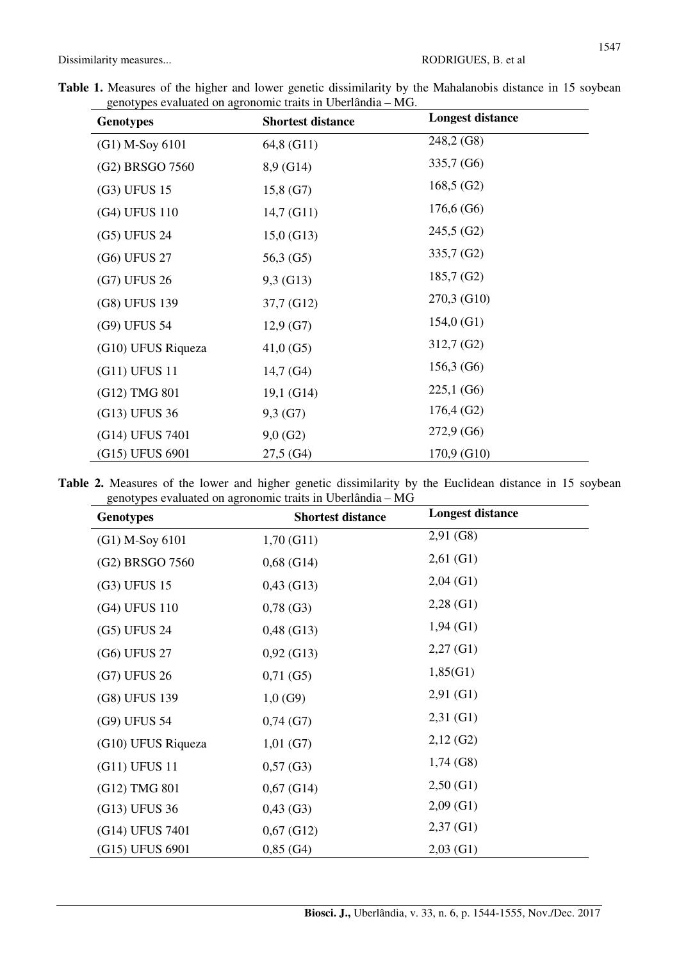|  |  |  |  |                                                             |  | Table 1. Measures of the higher and lower genetic dissimilarity by the Mahalanobis distance in 15 soybean |  |  |
|--|--|--|--|-------------------------------------------------------------|--|-----------------------------------------------------------------------------------------------------------|--|--|
|  |  |  |  | genotypes evaluated on agronomic traits in Uberlândia – MG. |  |                                                                                                           |  |  |

| <b>Genotypes</b>   | <b>Shortest distance</b> | <b>Longest distance</b> |  |  |
|--------------------|--------------------------|-------------------------|--|--|
| (G1) M-Soy 6101    | 64,8 (G11)               | 248,2 (G8)              |  |  |
| (G2) BRSGO 7560    | 8,9 (G14)                | 335,7 (G6)              |  |  |
| (G3) UFUS 15       | 15,8(G7)                 | 168,5(G2)               |  |  |
| (G4) UFUS 110      | 14,7(G11)                | 176,6(G6)               |  |  |
| (G5) UFUS 24       | $15,0$ (G13)             | $245,5$ (G2)            |  |  |
| (G6) UFUS 27       | 56,3 (G5)                | 335,7 (G2)              |  |  |
| (G7) UFUS 26       | 9,3 (G13)                | $185,7$ (G2)            |  |  |
| (G8) UFUS 139      | 37,7 (G12)               | 270,3 (G10)             |  |  |
| (G9) UFUS 54       | $12,9$ (G7)              | $154,0$ (G1)            |  |  |
| (G10) UFUS Riqueza | $41,0$ (G5)              | $312,7$ (G2)            |  |  |
| (G11) UFUS 11      | $14,7$ (G4)              | 156,3(G6)               |  |  |
| (G12) TMG 801      | 19,1(G14)                | 225,1(G6)               |  |  |
| (G13) UFUS 36      | 9,3(G7)                  | 176,4(G2)               |  |  |
| (G14) UFUS 7401    | $9,0$ (G2)               | $272,9$ (G6)            |  |  |
| (G15) UFUS 6901    | $27,5$ (G4)              | 170,9 (G10)             |  |  |

Table 2. Measures of the lower and higher genetic dissimilarity by the Euclidean distance in 15 soybean genotypes evaluated on agronomic traits in Uberlândia – MG

| <b>Genotypes</b>   | <b>Shortest distance</b> | <b>Longest distance</b> |  |  |
|--------------------|--------------------------|-------------------------|--|--|
| (G1) M-Soy 6101    | 1,70(G11)                | $2,91$ (G8)             |  |  |
| (G2) BRSGO 7560    | $0,68$ (G14)             | $2,61$ (G1)             |  |  |
| (G3) UFUS 15       | $0,43$ (G13)             | $2,04$ (G1)             |  |  |
| (G4) UFUS 110      | $0,78$ (G3)              | $2,28$ (G1)             |  |  |
| (G5) UFUS 24       | $0,48$ (G13)             | $1,94$ (G1)             |  |  |
| (G6) UFUS 27       | $0,92$ (G13)             | $2,27$ (G1)             |  |  |
| (G7) UFUS 26       | $0,71$ (G5)              | 1,85(G1)                |  |  |
| (G8) UFUS 139      | $1,0$ (G9)               | $2,91$ (G1)             |  |  |
| (G9) UFUS 54       | $0,74$ (G7)              | $2,31$ (G1)             |  |  |
| (G10) UFUS Riqueza | $1,01$ (G7)              | $2,12$ (G2)             |  |  |
| (G11) UFUS 11      | $0,57$ (G3)              | $1,74$ (G8)             |  |  |
| (G12) TMG 801      | $0,67$ (G14)             | 2,50(G1)                |  |  |
| (G13) UFUS 36      | $0,43$ (G3)              | $2,09$ (G1)             |  |  |
| (G14) UFUS 7401    | $0,67$ (G12)             | $2,37$ (G1)             |  |  |
| (G15) UFUS 6901    | $0,85$ (G4)              | $2,03$ (G1)             |  |  |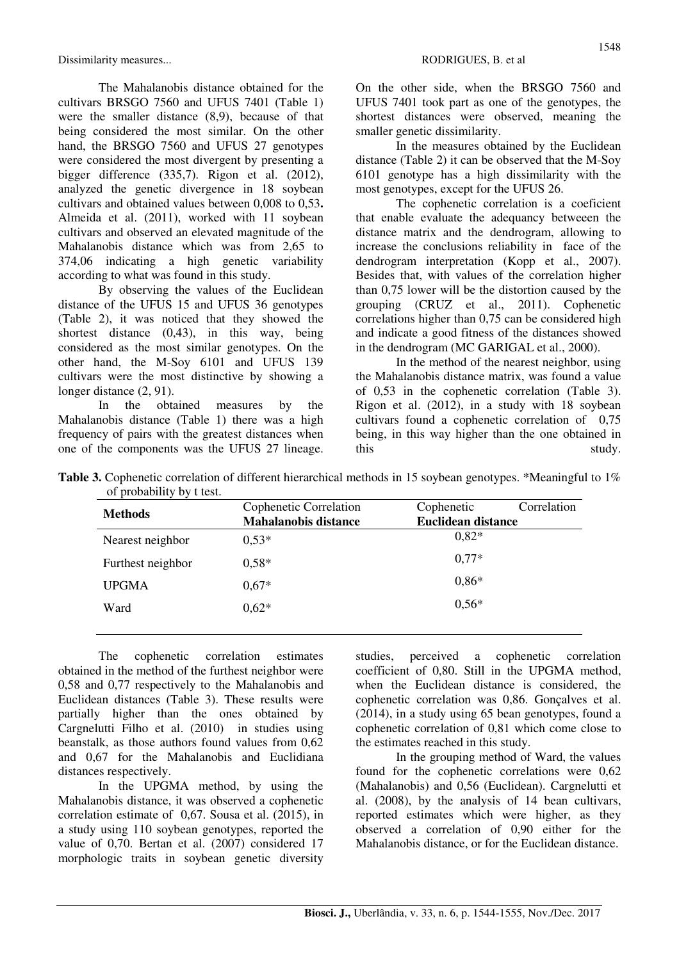Dissimilarity measures... RODRIGUES, B. et al.

The Mahalanobis distance obtained for the cultivars BRSGO 7560 and UFUS 7401 (Table 1) were the smaller distance (8,9), because of that being considered the most similar. On the other hand, the BRSGO 7560 and UFUS 27 genotypes were considered the most divergent by presenting a bigger difference (335,7). Rigon et al. (2012), analyzed the genetic divergence in 18 soybean cultivars and obtained values between 0,008 to 0,53**.**  Almeida et al. (2011), worked with 11 soybean cultivars and observed an elevated magnitude of the Mahalanobis distance which was from 2,65 to 374,06 indicating a high genetic variability according to what was found in this study.

By observing the values of the Euclidean distance of the UFUS 15 and UFUS 36 genotypes (Table 2), it was noticed that they showed the shortest distance (0,43), in this way, being considered as the most similar genotypes. On the other hand, the M-Soy 6101 and UFUS 139 cultivars were the most distinctive by showing a longer distance (2, 91).

In the obtained measures by the Mahalanobis distance (Table 1) there was a high frequency of pairs with the greatest distances when one of the components was the UFUS 27 lineage. On the other side, when the BRSGO 7560 and UFUS 7401 took part as one of the genotypes, the shortest distances were observed, meaning the smaller genetic dissimilarity.

In the measures obtained by the Euclidean distance (Table 2) it can be observed that the M-Soy 6101 genotype has a high dissimilarity with the most genotypes, except for the UFUS 26.

The cophenetic correlation is a coeficient that enable evaluate the adequancy betweeen the distance matrix and the dendrogram, allowing to increase the conclusions reliability in face of the dendrogram interpretation (Kopp et al., 2007). Besides that, with values of the correlation higher than 0,75 lower will be the distortion caused by the grouping (CRUZ et al., 2011). Cophenetic correlations higher than 0,75 can be considered high and indicate a good fitness of the distances showed in the dendrogram (MC GARIGAL et al., 2000).

In the method of the nearest neighbor, using the Mahalanobis distance matrix, was found a value of 0,53 in the cophenetic correlation (Table 3). Rigon et al. (2012), in a study with 18 soybean cultivars found a cophenetic correlation of 0,75 being, in this way higher than the one obtained in this study.

**Table 3.** Cophenetic correlation of different hierarchical methods in 15 soybean genotypes. \*Meaningful to 1% of probability by t test.

| <b>Methods</b>    | Cophenetic Correlation      | Correlation<br>Cophenetic |  |  |  |
|-------------------|-----------------------------|---------------------------|--|--|--|
|                   | <b>Mahalanobis distance</b> | <b>Euclidean distance</b> |  |  |  |
| Nearest neighbor  | $0.53*$                     | $0.82*$                   |  |  |  |
| Furthest neighbor | $0.58*$                     | $0.77*$                   |  |  |  |
| <b>UPGMA</b>      | $0.67*$                     | $0,86*$                   |  |  |  |
| Ward              | $0.62*$                     | $0.56*$                   |  |  |  |
|                   |                             |                           |  |  |  |

The cophenetic correlation estimates obtained in the method of the furthest neighbor were 0,58 and 0,77 respectively to the Mahalanobis and Euclidean distances (Table 3). These results were partially higher than the ones obtained by Cargnelutti Filho et al. (2010) in studies using beanstalk, as those authors found values from 0,62 and 0,67 for the Mahalanobis and Euclidiana distances respectively.

In the UPGMA method, by using the Mahalanobis distance, it was observed a cophenetic correlation estimate of 0,67. Sousa et al. (2015), in a study using 110 soybean genotypes, reported the value of 0,70. Bertan et al. (2007) considered 17 morphologic traits in soybean genetic diversity studies, perceived a cophenetic correlation coefficient of 0,80. Still in the UPGMA method. when the Euclidean distance is considered, the cophenetic correlation was 0,86. Gonçalves et al. (2014), in a study using 65 bean genotypes, found a cophenetic correlation of 0,81 which come close to the estimates reached in this study.

In the grouping method of Ward, the values found for the cophenetic correlations were 0,62 (Mahalanobis) and 0,56 (Euclidean). Cargnelutti et al. (2008), by the analysis of 14 bean cultivars, reported estimates which were higher, as they observed a correlation of 0,90 either for the Mahalanobis distance, or for the Euclidean distance.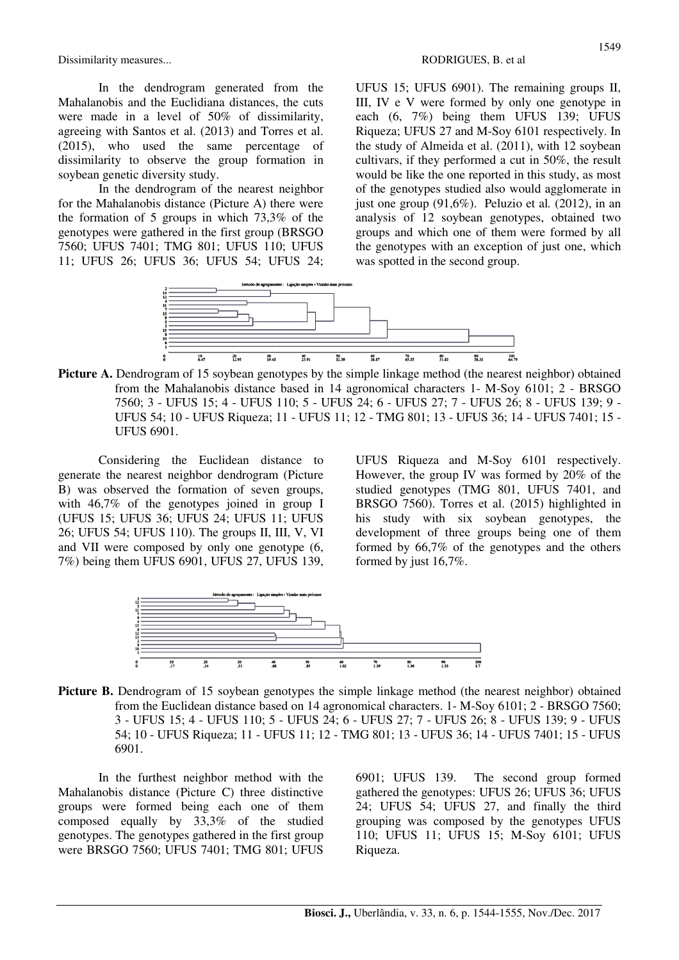Dissimilarity measures... The contraction of the contraction of the RODRIGUES, B. et al.

In the dendrogram generated from the Mahalanobis and the Euclidiana distances, the cuts were made in a level of 50% of dissimilarity, agreeing with Santos et al. (2013) and Torres et al. (2015), who used the same percentage of dissimilarity to observe the group formation in soybean genetic diversity study.

In the dendrogram of the nearest neighbor for the Mahalanobis distance (Picture A) there were the formation of 5 groups in which 73,3% of the genotypes were gathered in the first group (BRSGO 7560; UFUS 7401; TMG 801; UFUS 110; UFUS 11; UFUS 26; UFUS 36; UFUS 54; UFUS 24; UFUS 15; UFUS 6901). The remaining groups II, III, IV e V were formed by only one genotype in each (6, 7%) being them UFUS 139; UFUS Riqueza; UFUS 27 and M-Soy 6101 respectively. In the study of Almeida et al. (2011), with 12 soybean cultivars, if they performed a cut in 50%, the result would be like the one reported in this study, as most of the genotypes studied also would agglomerate in just one group (91,6%). Peluzio et al*.* (2012), in an analysis of 12 soybean genotypes, obtained two groups and which one of them were formed by all the genotypes with an exception of just one, which was spotted in the second group.



**Picture A.** Dendrogram of 15 soybean genotypes by the simple linkage method (the nearest neighbor) obtained from the Mahalanobis distance based in 14 agronomical characters 1- M-Soy 6101; 2 - BRSGO 7560; 3 - UFUS 15; 4 - UFUS 110; 5 - UFUS 24; 6 - UFUS 27; 7 - UFUS 26; 8 - UFUS 139; 9 - UFUS 54; 10 - UFUS Riqueza; 11 - UFUS 11; 12 - TMG 801; 13 - UFUS 36; 14 - UFUS 7401; 15 - UFUS 6901.

Considering the Euclidean distance to generate the nearest neighbor dendrogram (Picture B) was observed the formation of seven groups, with 46,7% of the genotypes joined in group I (UFUS 15; UFUS 36; UFUS 24; UFUS 11; UFUS 26; UFUS 54; UFUS 110). The groups II, III, V, VI and VII were composed by only one genotype (6, 7%) being them UFUS 6901, UFUS 27, UFUS 139, UFUS Riqueza and M-Soy 6101 respectively. However, the group IV was formed by 20% of the studied genotypes (TMG 801, UFUS 7401, and BRSGO 7560). Torres et al. (2015) highlighted in his study with six soybean genotypes, the development of three groups being one of them formed by 66,7% of the genotypes and the others formed by just 16,7%.



**Picture B.** Dendrogram of 15 soybean genotypes the simple linkage method (the nearest neighbor) obtained from the Euclidean distance based on 14 agronomical characters. 1- M-Soy 6101; 2 - BRSGO 7560; 3 - UFUS 15; 4 - UFUS 110; 5 - UFUS 24; 6 - UFUS 27; 7 - UFUS 26; 8 - UFUS 139; 9 - UFUS 54; 10 - UFUS Riqueza; 11 - UFUS 11; 12 - TMG 801; 13 - UFUS 36; 14 - UFUS 7401; 15 - UFUS 6901.

In the furthest neighbor method with the Mahalanobis distance (Picture C) three distinctive groups were formed being each one of them composed equally by 33,3% of the studied genotypes. The genotypes gathered in the first group were BRSGO 7560; UFUS 7401; TMG 801; UFUS 6901; UFUS 139. The second group formed gathered the genotypes: UFUS 26; UFUS 36; UFUS 24; UFUS 54; UFUS 27, and finally the third grouping was composed by the genotypes UFUS 110; UFUS 11; UFUS 15; M-Soy 6101; UFUS Riqueza.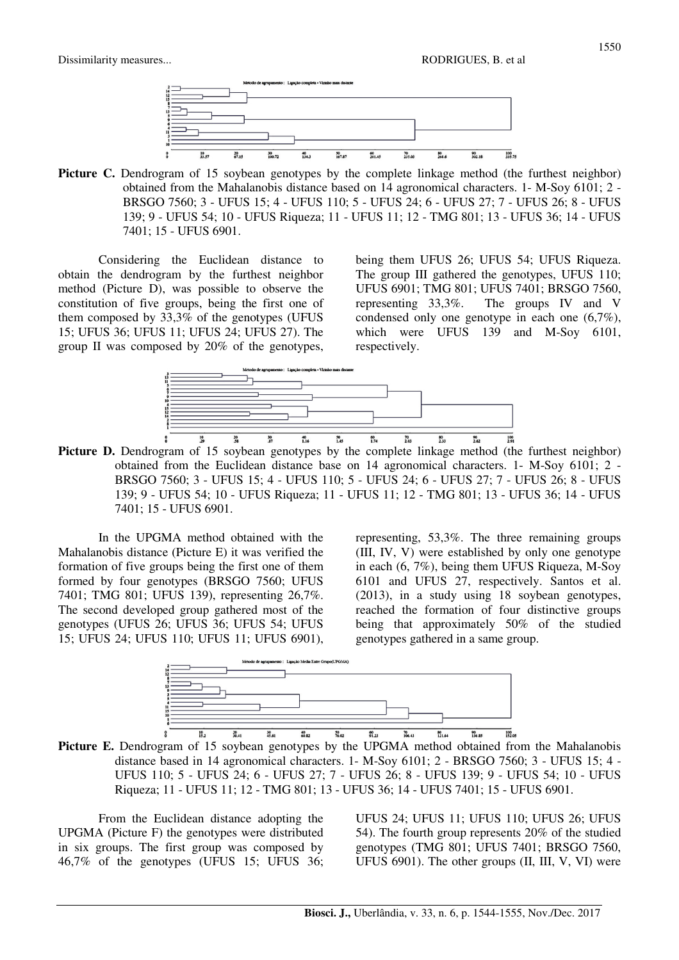

**Picture C.** Dendrogram of 15 soybean genotypes by the complete linkage method (the furthest neighbor) obtained from the Mahalanobis distance based on 14 agronomical characters. 1- M-Soy 6101; 2 - BRSGO 7560; 3 - UFUS 15; 4 - UFUS 110; 5 - UFUS 24; 6 - UFUS 27; 7 - UFUS 26; 8 - UFUS 139; 9 - UFUS 54; 10 - UFUS Riqueza; 11 - UFUS 11; 12 - TMG 801; 13 - UFUS 36; 14 - UFUS 7401; 15 - UFUS 6901.

Considering the Euclidean distance to obtain the dendrogram by the furthest neighbor method (Picture D), was possible to observe the constitution of five groups, being the first one of them composed by 33,3% of the genotypes (UFUS 15; UFUS 36; UFUS 11; UFUS 24; UFUS 27). The group II was composed by 20% of the genotypes,

being them UFUS 26; UFUS 54; UFUS Riqueza. The group III gathered the genotypes, UFUS 110; UFUS 6901; TMG 801; UFUS 7401; BRSGO 7560, representing 33,3%. The groups IV and V condensed only one genotype in each one (6,7%), which were UFUS 139 and M-Soy 6101, respectively.



Picture D. Dendrogram of 15 soybean genotypes by the complete linkage method (the furthest neighbor) obtained from the Euclidean distance base on 14 agronomical characters. 1- M-Soy 6101; 2 - BRSGO 7560; 3 - UFUS 15; 4 - UFUS 110; 5 - UFUS 24; 6 - UFUS 27; 7 - UFUS 26; 8 - UFUS 139; 9 - UFUS 54; 10 - UFUS Riqueza; 11 - UFUS 11; 12 - TMG 801; 13 - UFUS 36; 14 - UFUS 7401; 15 - UFUS 6901.

In the UPGMA method obtained with the Mahalanobis distance (Picture E) it was verified the formation of five groups being the first one of them formed by four genotypes (BRSGO 7560; UFUS 7401; TMG 801; UFUS 139), representing 26,7%. The second developed group gathered most of the genotypes (UFUS 26; UFUS 36; UFUS 54; UFUS 15; UFUS 24; UFUS 110; UFUS 11; UFUS 6901),

representing, 53,3%. The three remaining groups (III, IV, V) were established by only one genotype in each (6, 7%), being them UFUS Riqueza, M-Soy 6101 and UFUS 27, respectively. Santos et al. (2013), in a study using 18 soybean genotypes, reached the formation of four distinctive groups being that approximately 50% of the studied genotypes gathered in a same group.



**Picture E.** Dendrogram of 15 soybean genotypes by the UPGMA method obtained from the Mahalanobis distance based in 14 agronomical characters. 1- M-Soy 6101; 2 - BRSGO 7560; 3 - UFUS 15; 4 - UFUS 110; 5 - UFUS 24; 6 - UFUS 27; 7 - UFUS 26; 8 - UFUS 139; 9 - UFUS 54; 10 - UFUS Riqueza; 11 - UFUS 11; 12 - TMG 801; 13 - UFUS 36; 14 - UFUS 7401; 15 - UFUS 6901.

From the Euclidean distance adopting the UPGMA (Picture F) the genotypes were distributed in six groups. The first group was composed by 46,7% of the genotypes (UFUS 15; UFUS 36;

UFUS 24; UFUS 11; UFUS 110; UFUS 26; UFUS 54). The fourth group represents 20% of the studied genotypes (TMG 801; UFUS 7401; BRSGO 7560, UFUS 6901). The other groups (II, III, V, VI) were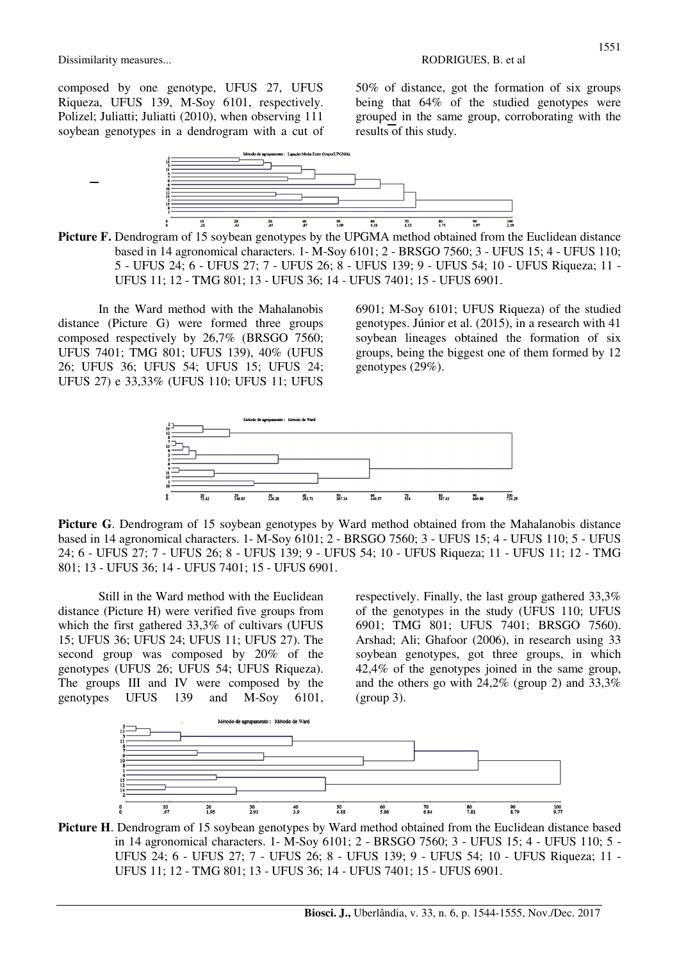composed by one genotype, UFUS 27, UFUS Riqueza, UFUS 139, M-Soy 6101, respectively. Polizel; Juliatti; Juliatti (2010), when observing 111 soybean genotypes in a dendrogram with a cut of 50% of distance, got the formation of six groups being that 64% of the studied genotypes were grouped in the same group, corroborating with the results of this study.



Picture F. Dendrogram of 15 soybean genotypes by the UPGMA method obtained from the Euclidean distance based in 14 agronomical characters. 1- M-Soy 6101; 2 - BRSGO 7560; 3 - UFUS 15; 4 - UFUS 110; 5 - UFUS 24; 6 - UFUS 27; 7 - UFUS 26; 8 - UFUS 139; 9 - UFUS 54; 10 - UFUS Riqueza; 11 - UFUS 11; 12 - TMG 801; 13 - UFUS 36; 14 - UFUS 7401; 15 - UFUS 6901.

In the Ward method with the Mahalanobis distance (Picture G) were formed three groups composed respectively by 26,7% (BRSGO 7560; UFUS 7401; TMG 801; UFUS 139), 40% (UFUS 26; UFUS 36; UFUS 54; UFUS 15; UFUS 24; UFUS 27) e 33,33% (UFUS 110; UFUS 11; UFUS

6901; M-Soy 6101; UFUS Riqueza) of the studied genotypes. Júnior et al. (2015), in a research with 41 soybean lineages obtained the formation of six groups, being the biggest one of them formed by 12 genotypes (29%).



Picture G. Dendrogram of 15 soybean genotypes by Ward method obtained from the Mahalanobis distance based in 14 agronomical characters. 1- M-Soy 6101; 2 - BRSGO 7560; 3 - UFUS 15; 4 - UFUS 110; 5 - UFUS 24; 6 - UFUS 27; 7 - UFUS 26; 8 - UFUS 139; 9 - UFUS 54; 10 - UFUS Riqueza; 11 - UFUS 11; 12 - TMG 801; 13 - UFUS 36; 14 - UFUS 7401; 15 - UFUS 6901.

Still in the Ward method with the Euclidean distance (Picture H) were verified five groups from which the first gathered 33,3% of cultivars (UFUS 15; UFUS 36; UFUS 24; UFUS 11; UFUS 27). The second group was composed by 20% of the genotypes (UFUS 26; UFUS 54; UFUS Riqueza). The groups III and IV were composed by the genotypes UFUS 139 and M-Soy 6101,

respectively. Finally, the last group gathered 33,3% of the genotypes in the study (UFUS 110; UFUS 6901; TMG 801; UFUS 7401; BRSGO 7560). Arshad; Ali; Ghafoor (2006), in research using 33 soybean genotypes, got three groups, in which 42,4% of the genotypes joined in the same group, and the others go with 24,2% (group 2) and 33,3% (group 3).



**Picture H**. Dendrogram of 15 soybean genotypes by Ward method obtained from the Euclidean distance based in 14 agronomical characters. 1- M-Soy 6101; 2 - BRSGO 7560; 3 - UFUS 15; 4 - UFUS 110; 5 - UFUS 24; 6 - UFUS 27; 7 - UFUS 26; 8 - UFUS 139; 9 - UFUS 54; 10 - UFUS Riqueza; 11 - UFUS 11; 12 - TMG 801; 13 - UFUS 36; 14 - UFUS 7401; 15 - UFUS 6901.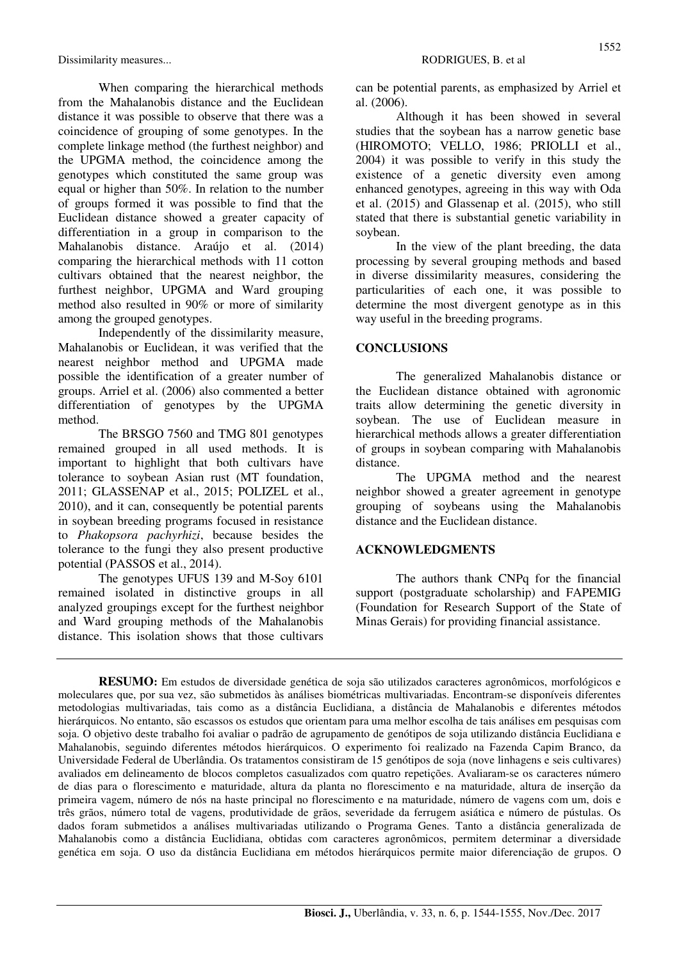Dissimilarity measures... The contraction of the contraction of the RODRIGUES, B. et al.

When comparing the hierarchical methods from the Mahalanobis distance and the Euclidean distance it was possible to observe that there was a coincidence of grouping of some genotypes. In the complete linkage method (the furthest neighbor) and the UPGMA method, the coincidence among the genotypes which constituted the same group was equal or higher than 50%. In relation to the number of groups formed it was possible to find that the Euclidean distance showed a greater capacity of differentiation in a group in comparison to the Mahalanobis distance. Araújo et al. (2014) comparing the hierarchical methods with 11 cotton cultivars obtained that the nearest neighbor, the furthest neighbor, UPGMA and Ward grouping method also resulted in 90% or more of similarity among the grouped genotypes.

Independently of the dissimilarity measure, Mahalanobis or Euclidean, it was verified that the nearest neighbor method and UPGMA made possible the identification of a greater number of groups. Arriel et al. (2006) also commented a better differentiation of genotypes by the UPGMA method.

The BRSGO 7560 and TMG 801 genotypes remained grouped in all used methods. It is important to highlight that both cultivars have tolerance to soybean Asian rust (MT foundation, 2011; GLASSENAP et al., 2015; POLIZEL et al., 2010), and it can, consequently be potential parents in soybean breeding programs focused in resistance to *Phakopsora pachyrhizi*, because besides the tolerance to the fungi they also present productive potential (PASSOS et al., 2014).

The genotypes UFUS 139 and M-Soy 6101 remained isolated in distinctive groups in all analyzed groupings except for the furthest neighbor and Ward grouping methods of the Mahalanobis distance. This isolation shows that those cultivars can be potential parents, as emphasized by Arriel et al. (2006).

Although it has been showed in several studies that the soybean has a narrow genetic base (HIROMOTO; VELLO, 1986; PRIOLLI et al., 2004) it was possible to verify in this study the existence of a genetic diversity even among enhanced genotypes, agreeing in this way with Oda et al. (2015) and Glassenap et al. (2015), who still stated that there is substantial genetic variability in soybean.

In the view of the plant breeding, the data processing by several grouping methods and based in diverse dissimilarity measures, considering the particularities of each one, it was possible to determine the most divergent genotype as in this way useful in the breeding programs.

#### **CONCLUSIONS**

The generalized Mahalanobis distance or the Euclidean distance obtained with agronomic traits allow determining the genetic diversity in soybean. The use of Euclidean measure in hierarchical methods allows a greater differentiation of groups in soybean comparing with Mahalanobis distance.

The UPGMA method and the nearest neighbor showed a greater agreement in genotype grouping of soybeans using the Mahalanobis distance and the Euclidean distance.

#### **ACKNOWLEDGMENTS**

The authors thank CNPq for the financial support (postgraduate scholarship) and FAPEMIG (Foundation for Research Support of the State of Minas Gerais) for providing financial assistance.

**RESUMO:** Em estudos de diversidade genética de soja são utilizados caracteres agronômicos, morfológicos e moleculares que, por sua vez, são submetidos às análises biométricas multivariadas. Encontram-se disponíveis diferentes metodologias multivariadas, tais como as a distância Euclidiana, a distância de Mahalanobis e diferentes métodos hierárquicos. No entanto, são escassos os estudos que orientam para uma melhor escolha de tais análises em pesquisas com soja. O objetivo deste trabalho foi avaliar o padrão de agrupamento de genótipos de soja utilizando distância Euclidiana e Mahalanobis, seguindo diferentes métodos hierárquicos. O experimento foi realizado na Fazenda Capim Branco, da Universidade Federal de Uberlândia. Os tratamentos consistiram de 15 genótipos de soja (nove linhagens e seis cultivares) avaliados em delineamento de blocos completos casualizados com quatro repetições. Avaliaram-se os caracteres número de dias para o florescimento e maturidade, altura da planta no florescimento e na maturidade, altura de inserção da primeira vagem, número de nós na haste principal no florescimento e na maturidade, número de vagens com um, dois e três grãos, número total de vagens, produtividade de grãos, severidade da ferrugem asiática e número de pústulas. Os dados foram submetidos a análises multivariadas utilizando o Programa Genes. Tanto a distância generalizada de Mahalanobis como a distância Euclidiana, obtidas com caracteres agronômicos, permitem determinar a diversidade genética em soja. O uso da distância Euclidiana em métodos hierárquicos permite maior diferenciação de grupos. O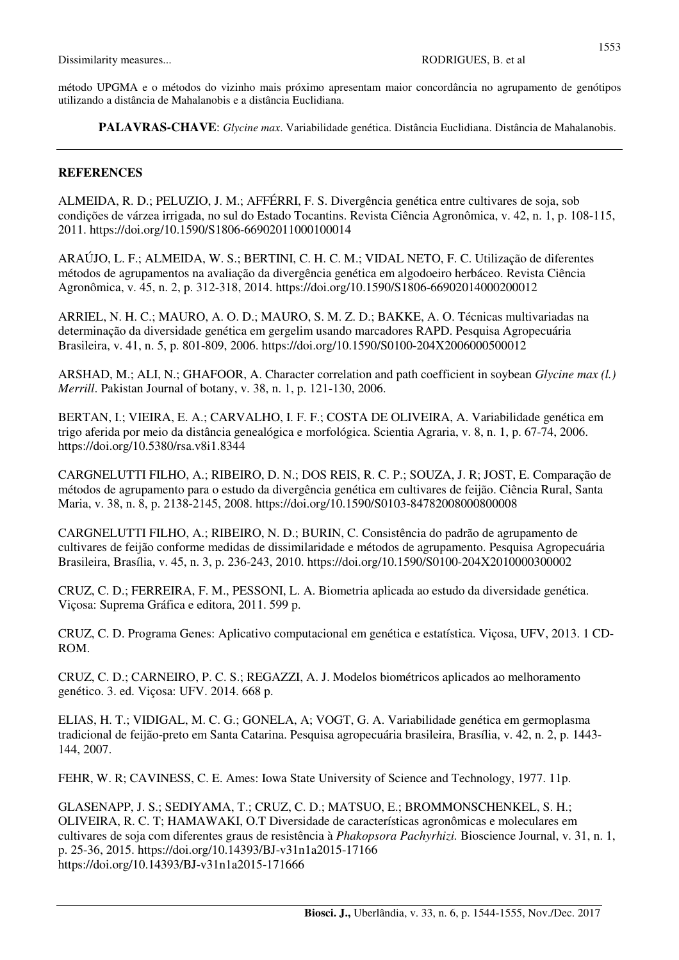método UPGMA e o métodos do vizinho mais próximo apresentam maior concordância no agrupamento de genótipos utilizando a distância de Mahalanobis e a distância Euclidiana.

**PALAVRAS-CHAVE**: *Glycine max*. Variabilidade genética. Distância Euclidiana. Distância de Mahalanobis.

#### **REFERENCES**

ALMEIDA, R. D.; PELUZIO, J. M.; AFFÉRRI, F. S. Divergência genética entre cultivares de soja, sob condições de várzea irrigada, no sul do Estado Tocantins. Revista Ciência Agronômica, v. 42, n. 1, p. 108-115, 2011. https://doi.org/10.1590/S1806-66902011000100014

ARAÚJO, L. F.; ALMEIDA, W. S.; BERTINI, C. H. C. M.; VIDAL NETO, F. C. Utilização de diferentes métodos de agrupamentos na avaliação da divergência genética em algodoeiro herbáceo. Revista Ciência Agronômica, v. 45, n. 2, p. 312-318, 2014. https://doi.org/10.1590/S1806-66902014000200012

ARRIEL, N. H. C.; MAURO, A. O. D.; MAURO, S. M. Z. D.; BAKKE, A. O. Técnicas multivariadas na determinação da diversidade genética em gergelim usando marcadores RAPD. Pesquisa Agropecuária Brasileira, v. 41, n. 5, p. 801-809, 2006. https://doi.org/10.1590/S0100-204X2006000500012

ARSHAD, M.; ALI, N.; GHAFOOR, A. Character correlation and path coefficient in soybean *Glycine max (l.) Merrill*. Pakistan Journal of botany, v. 38, n. 1, p. 121-130, 2006.

BERTAN, I.; VIEIRA, E. A.; CARVALHO, I. F. F.; COSTA DE OLIVEIRA, A. Variabilidade genética em trigo aferida por meio da distância genealógica e morfológica. Scientia Agraria, v. 8, n. 1, p. 67-74, 2006. https://doi.org/10.5380/rsa.v8i1.8344

CARGNELUTTI FILHO, A.; RIBEIRO, D. N.; DOS REIS, R. C. P.; SOUZA, J. R; JOST, E. Comparação de métodos de agrupamento para o estudo da divergência genética em cultivares de feijão. Ciência Rural, Santa Maria, v. 38, n. 8, p. 2138-2145, 2008. https://doi.org/10.1590/S0103-84782008000800008

CARGNELUTTI FILHO, A.; RIBEIRO, N. D.; BURIN, C. Consistência do padrão de agrupamento de cultivares de feijão conforme medidas de dissimilaridade e métodos de agrupamento. Pesquisa Agropecuária Brasileira, Brasília, v. 45, n. 3, p. 236-243, 2010. https://doi.org/10.1590/S0100-204X2010000300002

CRUZ, C. D.; FERREIRA, F. M., PESSONI, L. A. Biometria aplicada ao estudo da diversidade genética. Viçosa: Suprema Gráfica e editora, 2011. 599 p.

CRUZ, C. D. Programa Genes: Aplicativo computacional em genética e estatística. Viçosa, UFV, 2013. 1 CD-ROM.

CRUZ, C. D.; CARNEIRO, P. C. S.; REGAZZI, A. J. Modelos biométricos aplicados ao melhoramento genético. 3. ed. Viçosa: UFV. 2014. 668 p.

ELIAS, H. T.; VIDIGAL, M. C. G.; GONELA, A; VOGT, G. A. Variabilidade genética em germoplasma tradicional de feijão-preto em Santa Catarina. Pesquisa agropecuária brasileira, Brasília, v. 42, n. 2, p. 1443- 144, 2007.

FEHR, W. R; CAVINESS, C. E. Ames: Iowa State University of Science and Technology, 1977. 11p.

GLASENAPP, J. S.; SEDIYAMA, T.; CRUZ, C. D.; MATSUO, E.; BROMMONSCHENKEL, S. H.; OLIVEIRA, R. C. T; HAMAWAKI, O.T Diversidade de características agronômicas e moleculares em cultivares de soja com diferentes graus de resistência à *Phakopsora Pachyrhizi.* Bioscience Journal, v. 31, n. 1, p. 25-36, 2015. https://doi.org/10.14393/BJ-v31n1a2015-17166 https://doi.org/10.14393/BJ-v31n1a2015-171666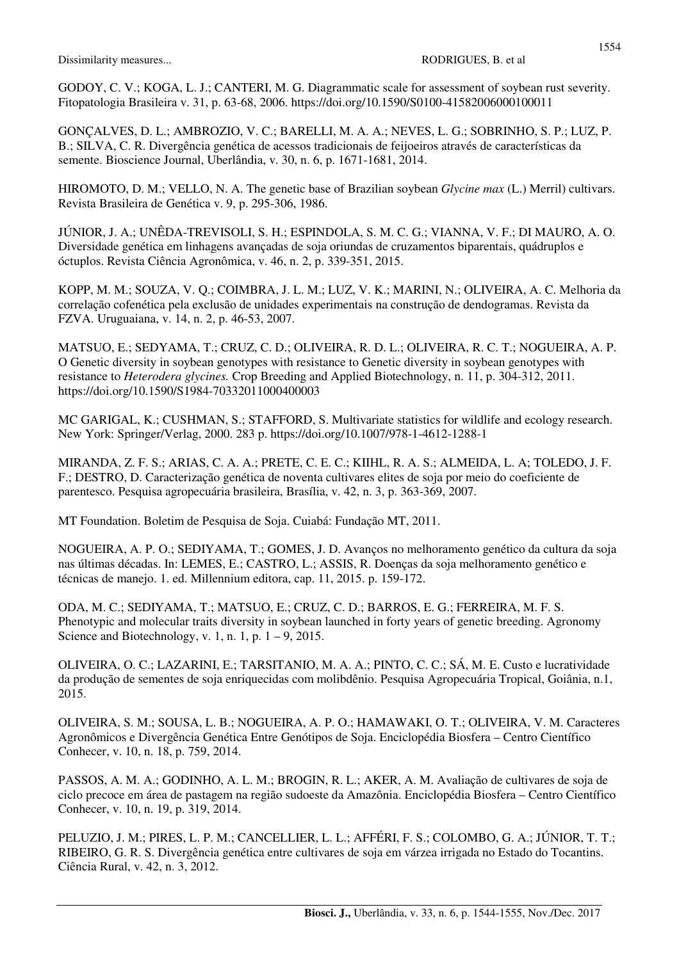GODOY, C. V.; KOGA, L. J.; CANTERI, M. G. Diagrammatic scale for assessment of soybean rust severity. Fitopatologia Brasileira v. 31, p. 63-68, 2006. https://doi.org/10.1590/S0100-41582006000100011

GONÇALVES, D. L.; AMBROZIO, V. C.; BARELLI, M. A. A.; NEVES, L. G.; SOBRINHO, S. P.; LUZ, P. B.; SILVA, C. R. Divergência genética de acessos tradicionais de feijoeiros através de características da semente. Bioscience Journal, Uberlândia, v. 30, n. 6, p. 1671-1681, 2014.

HIROMOTO, D. M.; VELLO, N. A. The genetic base of Brazilian soybean *Glycine max* (L.) Merril) cultivars. Revista Brasileira de Genética v. 9, p. 295-306, 1986.

JÚNIOR, J. A.; UNÊDA-TREVISOLI, S. H.; ESPINDOLA, S. M. C. G.; VIANNA, V. F.; DI MAURO, A. O. Diversidade genética em linhagens avançadas de soja oriundas de cruzamentos biparentais, quádruplos e óctuplos. Revista Ciência Agronômica, v. 46, n. 2, p. 339-351, 2015.

KOPP, M. M.; SOUZA, V. Q.; COIMBRA, J. L. M.; LUZ, V. K.; MARINI, N.; OLIVEIRA, A. C. Melhoria da correlação cofenética pela exclusão de unidades experimentais na construção de dendogramas. Revista da FZVA. Uruguaiana, v. 14, n. 2, p. 46-53, 2007.

MATSUO, E.; SEDYAMA, T.; CRUZ, C. D.; OLIVEIRA, R. D. L.; OLIVEIRA, R. C. T.; NOGUEIRA, A. P. O Genetic diversity in soybean genotypes with resistance to Genetic diversity in soybean genotypes with resistance to *Heterodera glycines.* Crop Breeding and Applied Biotechnology, n. 11, p. 304-312, 2011. https://doi.org/10.1590/S1984-70332011000400003

MC GARIGAL, K.; CUSHMAN, S.; STAFFORD, S. Multivariate statistics for wildlife and ecology research. New York: Springer/Verlag, 2000. 283 p. https://doi.org/10.1007/978-1-4612-1288-1

MIRANDA, Z. F. S.; ARIAS, C. A. A.; PRETE, C. E. C.; KIIHL, R. A. S.; ALMEIDA, L. A; TOLEDO, J. F. F.; DESTRO, D. Caracterização genética de noventa cultivares elites de soja por meio do coeficiente de parentesco. Pesquisa agropecuária brasileira, Brasília, v. 42, n. 3, p. 363-369, 2007.

MT Foundation. Boletim de Pesquisa de Soja. Cuiabá: Fundação MT, 2011.

NOGUEIRA, A. P. O.; SEDIYAMA, T.; GOMES, J. D. Avanços no melhoramento genético da cultura da soja nas últimas décadas. In: LEMES, E.; CASTRO, L.; ASSIS, R. Doenças da soja melhoramento genético e técnicas de manejo. 1. ed. Millennium editora, cap. 11, 2015. p. 159-172.

ODA, M. C.; SEDIYAMA, T.; MATSUO, E.; CRUZ, C. D.; BARROS, E. G.; FERREIRA, M. F. S. Phenotypic and molecular traits diversity in soybean launched in forty years of genetic breeding. Agronomy Science and Biotechnology, v. 1, n. 1, p.  $1 - 9$ , 2015.

OLIVEIRA, O. C.; LAZARINI, E.; TARSITANIO, M. A. A.; PINTO, C. C.; SÁ, M. E. Custo e lucratividade da produção de sementes de soja enriquecidas com molibdênio. Pesquisa Agropecuária Tropical, Goiânia, n.1, 2015.

OLIVEIRA, S. M.; SOUSA, L. B.; NOGUEIRA, A. P. O.; HAMAWAKI, O. T.; OLIVEIRA, V. M. Caracteres Agronômicos e Divergência Genética Entre Genótipos de Soja. Enciclopédia Biosfera – Centro Científico Conhecer, v. 10, n. 18, p. 759, 2014.

PASSOS, A. M. A.; GODINHO, A. L. M.; BROGIN, R. L.; AKER, A. M. Avaliação de cultivares de soja de ciclo precoce em área de pastagem na região sudoeste da Amazônia. Enciclopédia Biosfera – Centro Científico Conhecer, v. 10, n. 19, p. 319, 2014.

PELUZIO, J. M.; PIRES, L. P. M.; CANCELLIER, L. L.; AFFÉRI, F. S.; COLOMBO, G. A.; JÚNIOR, T. T.; RIBEIRO, G. R. S. Divergência genética entre cultivares de soja em várzea irrigada no Estado do Tocantins. Ciência Rural, v. 42, n. 3, 2012.